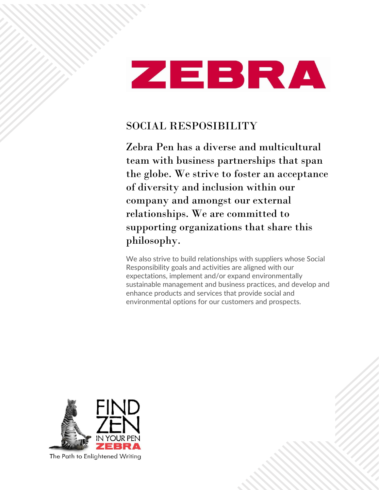

# SOCIAL RESPOSIBILITY

Zebra Pen has a diverse and multicultural team with business partnerships that span the globe. We strive to foster an acceptance of diversity and inclusion within our company and amongst our external relationships. We are committed to supporting organizations that share this philosophy.

We also strive to build relationships with suppliers whose Social Responsibility goals and activities are aligned with our expectations, implement and/or expand environmentally sustainable management and business practices, and develop and enhance products and services that provide social and environmental options for our customers and prospects.



The Path to Enlightened Writing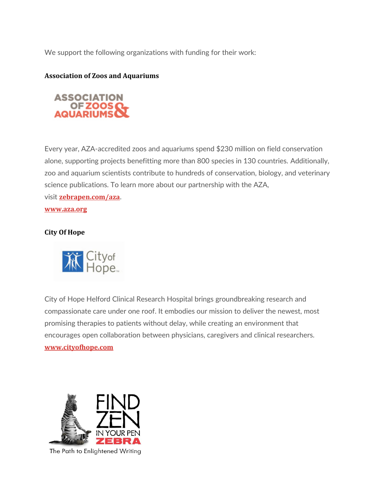We support the following organizations with funding for their work:

### **Association of Zoos and Aquariums**



Every year, AZA-accredited zoos and aquariums spend \$230 million on field conservation alone, supporting projects benefitting more than 800 species in 130 countries. Additionally, zoo and aquarium scientists contribute to hundreds of conservation, biology, and veterinary science publications. To learn more about our partnership with the AZA, visit **[zebrapen.com/aza](https://www.zebrapen.com/aza)**.

**[www.aza.org](https://www.aza.org/)**

#### **City Of Hope**



City of Hope Helford Clinical Research Hospital brings groundbreaking research and compassionate care under one roof. It embodies our mission to deliver the newest, most promising therapies to patients without delay, while creating an environment that encourages open collaboration between physicians, caregivers and clinical researchers. **[www.cityofhope.com](http://www.cityofhope.com/)**



The Path to Enlightened Writing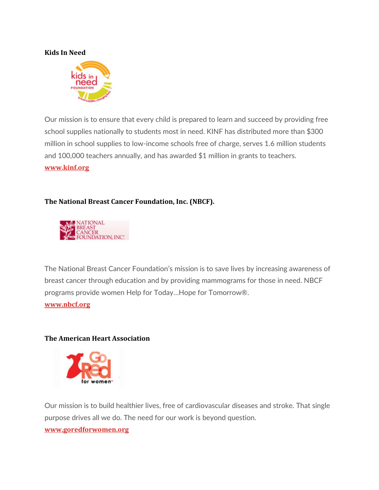#### **Kids In Need**



Our mission is to ensure that every child is prepared to learn and succeed by providing free school supplies nationally to students most in need. KINF has distributed more than \$300 million in school supplies to low-income schools free of charge, serves 1.6 million students and 100,000 teachers annually, and has awarded \$1 million in grants to teachers. **[www.kinf.org](http://www.kinf.org/)**

## **The National Breast Cancer Foundation, Inc. (NBCF).**



The National Breast Cancer Foundation's mission is to save lives by increasing awareness of breast cancer through education and by providing mammograms for those in need. NBCF programs provide women Help for Today…Hope for Tomorrow®. **[www.nbcf.org](http://www.nbcf.org/)**

#### **The American Heart Association**



Our mission is to build healthier lives, free of cardiovascular diseases and stroke. That single purpose drives all we do. The need for our work is beyond question.

#### **[www.goredforwomen.org](http://www.goredforwomen.org/)**